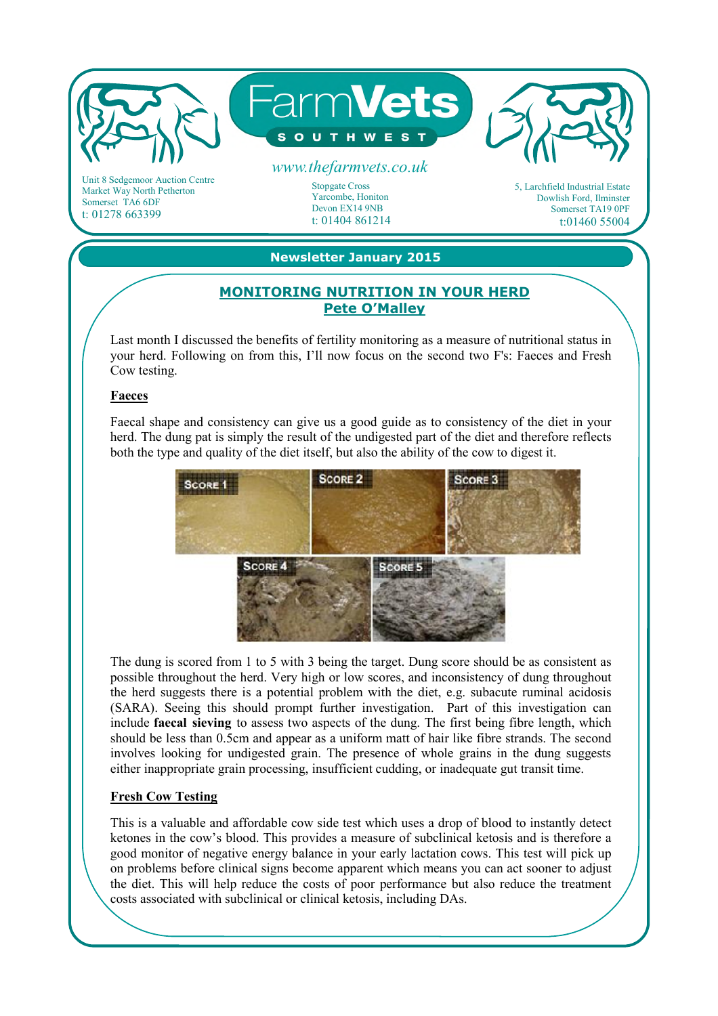

Market Way North Petherton Somerset TA6 6DF t: 01278 663399

Stopgate Cross Yarcombe, Honiton Devon EX14 9NB t: 01404 861214 5, Larchfield Industrial Estate Dowlish Ford, Ilminster Somerset TA19 0PF t:01460 55004

# **Newsletter January 2015**

## **MONITORING NUTRITION IN YOUR HERD Pete O'Malley**

Last month I discussed the benefits of fertility monitoring as a measure of nutritional status in your herd. Following on from this, I'll now focus on the second two F's: Faeces and Fresh Cow testing.

#### **Faeces**

Faecal shape and consistency can give us a good guide as to consistency of the diet in your herd. The dung pat is simply the result of the undigested part of the diet and therefore reflects both the type and quality of the diet itself, but also the ability of the cow to digest it.



The dung is scored from 1 to 5 with 3 being the target. Dung score should be as consistent as possible throughout the herd. Very high or low scores, and inconsistency of dung throughout the herd suggests there is a potential problem with the diet, e.g. subacute ruminal acidosis (SARA). Seeing this should prompt further investigation. Part of this investigation can include **faecal sieving** to assess two aspects of the dung. The first being fibre length, which should be less than 0.5cm and appear as a uniform matt of hair like fibre strands. The second involves looking for undigested grain. The presence of whole grains in the dung suggests either inappropriate grain processing, insufficient cudding, or inadequate gut transit time.

## **Fresh Cow Testing**

This is a valuable and affordable cow side test which uses a drop of blood to instantly detect ketones in the cow's blood. This provides a measure of subclinical ketosis and is therefore a good monitor of negative energy balance in your early lactation cows. This test will pick up on problems before clinical signs become apparent which means you can act sooner to adjust the diet. This will help reduce the costs of poor performance but also reduce the treatment costs associated with subclinical or clinical ketosis, including DAs.